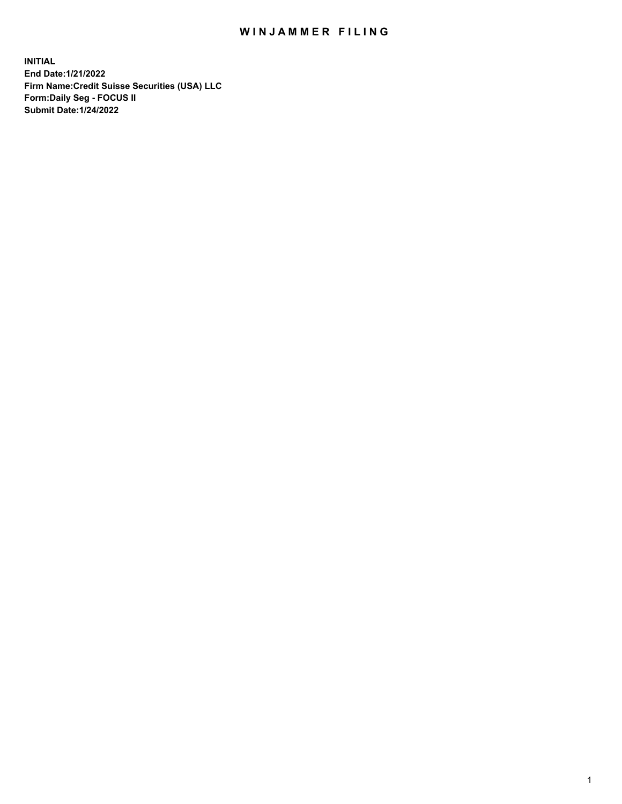## WIN JAMMER FILING

**INITIAL End Date:1/21/2022 Firm Name:Credit Suisse Securities (USA) LLC Form:Daily Seg - FOCUS II Submit Date:1/24/2022**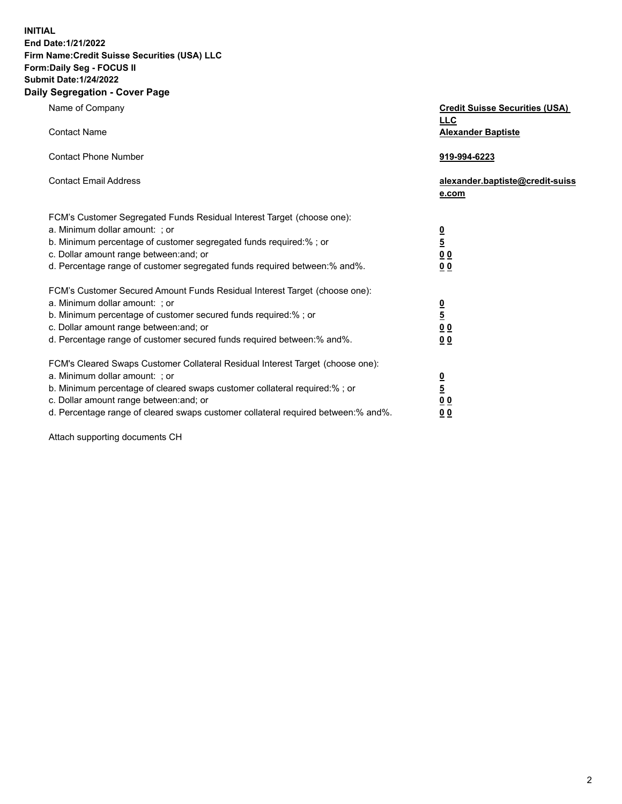**INITIAL End Date:1/21/2022** 

## **Firm Name:Credit Suisse Securities (USA) LLC Form:Daily Seg - FOCUS II Submit Date:1/24/2022**

## **Daily Segregation - Cover Page**

| Name of Company                                                                                                                                                                                                                                                                                                                | <b>Credit Suisse Securities (USA)</b><br><b>LLC</b>                |
|--------------------------------------------------------------------------------------------------------------------------------------------------------------------------------------------------------------------------------------------------------------------------------------------------------------------------------|--------------------------------------------------------------------|
| <b>Contact Name</b>                                                                                                                                                                                                                                                                                                            | <b>Alexander Baptiste</b>                                          |
| <b>Contact Phone Number</b>                                                                                                                                                                                                                                                                                                    | 919-994-6223                                                       |
| <b>Contact Email Address</b>                                                                                                                                                                                                                                                                                                   | alexander.baptiste@credit-suiss<br>e.com                           |
| FCM's Customer Segregated Funds Residual Interest Target (choose one):<br>a. Minimum dollar amount: ; or<br>b. Minimum percentage of customer segregated funds required:% ; or<br>c. Dollar amount range between: and; or<br>d. Percentage range of customer segregated funds required between: % and %.                       | $\frac{0}{5}$<br>$\underline{0}$ $\underline{0}$<br>0 <sub>0</sub> |
| FCM's Customer Secured Amount Funds Residual Interest Target (choose one):<br>a. Minimum dollar amount: ; or<br>b. Minimum percentage of customer secured funds required:% ; or<br>c. Dollar amount range between: and; or<br>d. Percentage range of customer secured funds required between:% and%.                           | $\frac{0}{5}$<br>0 <sub>0</sub><br>0 <sub>0</sub>                  |
| FCM's Cleared Swaps Customer Collateral Residual Interest Target (choose one):<br>a. Minimum dollar amount: ; or<br>b. Minimum percentage of cleared swaps customer collateral required:% ; or<br>c. Dollar amount range between: and; or<br>d. Percentage range of cleared swaps customer collateral required between:% and%. | $\frac{0}{5}$<br>0 <sub>0</sub><br>0 <sub>0</sub>                  |

Attach supporting documents CH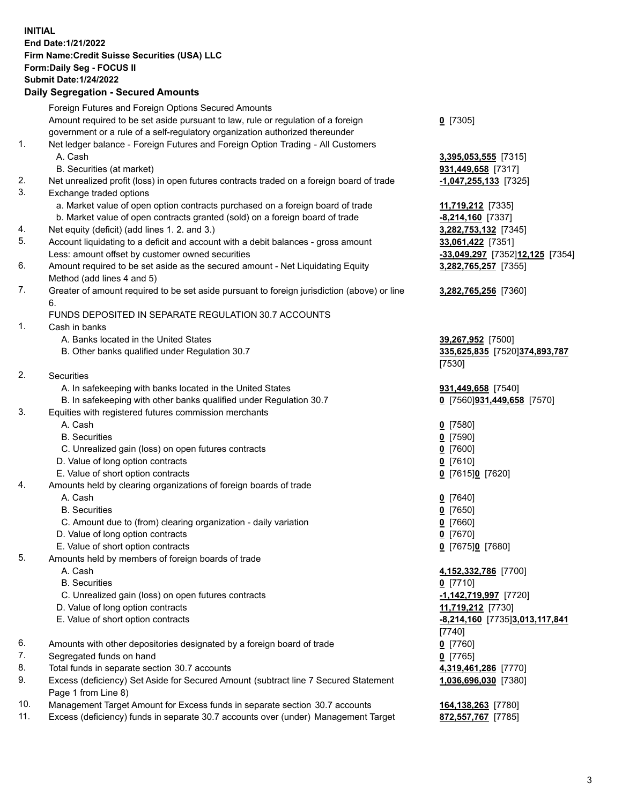**INITIAL End Date:1/21/2022 Firm Name:Credit Suisse Securities (USA) LLC Form:Daily Seg - FOCUS II Submit Date:1/24/2022** 

## **Daily Segregation - Secured Amounts**

|     | Foreign Futures and Foreign Options Secured Amounts                                                        |                                 |
|-----|------------------------------------------------------------------------------------------------------------|---------------------------------|
|     | Amount required to be set aside pursuant to law, rule or regulation of a foreign                           | $0$ [7305]                      |
|     | government or a rule of a self-regulatory organization authorized thereunder                               |                                 |
| 1.  | Net ledger balance - Foreign Futures and Foreign Option Trading - All Customers                            |                                 |
|     | A. Cash                                                                                                    | 3,395,053,555 [7315]            |
|     | B. Securities (at market)                                                                                  | 931,449,658 [7317]              |
| 2.  |                                                                                                            |                                 |
|     | Net unrealized profit (loss) in open futures contracts traded on a foreign board of trade                  | $-1,047,255,133$ [7325]         |
| 3.  | Exchange traded options                                                                                    |                                 |
|     | a. Market value of open option contracts purchased on a foreign board of trade                             | 11,719,212 [7335]               |
|     | b. Market value of open contracts granted (sold) on a foreign board of trade                               | $-8,214,160$ [7337]             |
| 4.  | Net equity (deficit) (add lines 1. 2. and 3.)                                                              | 3,282,753,132 [7345]            |
| 5.  | Account liquidating to a deficit and account with a debit balances - gross amount                          | 33,061,422 [7351]               |
|     | Less: amount offset by customer owned securities                                                           | -33,049,297 [7352]12,125 [7354] |
| 6.  | Amount required to be set aside as the secured amount - Net Liquidating Equity                             | 3,282,765,257 [7355]            |
|     | Method (add lines 4 and 5)                                                                                 |                                 |
| 7.  | Greater of amount required to be set aside pursuant to foreign jurisdiction (above) or line                | 3,282,765,256 [7360]            |
|     | 6.                                                                                                         |                                 |
|     | FUNDS DEPOSITED IN SEPARATE REGULATION 30.7 ACCOUNTS                                                       |                                 |
| 1.  | Cash in banks                                                                                              |                                 |
|     | A. Banks located in the United States                                                                      | 39,267,952 [7500]               |
|     | B. Other banks qualified under Regulation 30.7                                                             | 335,625,835 [7520]374,893,787   |
|     |                                                                                                            | [7530]                          |
| 2.  | Securities                                                                                                 |                                 |
|     | A. In safekeeping with banks located in the United States                                                  | 931,449,658 [7540]              |
|     | B. In safekeeping with other banks qualified under Regulation 30.7                                         |                                 |
| 3.  |                                                                                                            | 0 [7560]931,449,658 [7570]      |
|     | Equities with registered futures commission merchants                                                      |                                 |
|     | A. Cash                                                                                                    | $0$ [7580]                      |
|     | <b>B.</b> Securities                                                                                       | $Q$ [7590]                      |
|     | C. Unrealized gain (loss) on open futures contracts                                                        | $0$ [7600]                      |
|     | D. Value of long option contracts                                                                          | $0$ [7610]                      |
|     | E. Value of short option contracts                                                                         | 0 [7615]0 [7620]                |
| 4.  | Amounts held by clearing organizations of foreign boards of trade                                          |                                 |
|     | A. Cash                                                                                                    | $0$ [7640]                      |
|     | <b>B.</b> Securities                                                                                       | $0$ [7650]                      |
|     | C. Amount due to (from) clearing organization - daily variation                                            | 0 [7660]                        |
|     | D. Value of long option contracts                                                                          | $0$ [7670]                      |
|     | E. Value of short option contracts                                                                         | 0 [7675]0 [7680]                |
| 5.  | Amounts held by members of foreign boards of trade                                                         |                                 |
|     | A. Cash                                                                                                    | 4,152,332,786 [7700]            |
|     | <b>B.</b> Securities                                                                                       | $0$ [7710]                      |
|     | C. Unrealized gain (loss) on open futures contracts                                                        | $-1,142,719,997$ [7720]         |
|     | D. Value of long option contracts                                                                          | 11,719,212 [7730]               |
|     | E. Value of short option contracts                                                                         | -8,214,160 [7735]3,013,117,841  |
|     |                                                                                                            |                                 |
| 6.  |                                                                                                            | [7740]                          |
|     | Amounts with other depositories designated by a foreign board of trade                                     | $0$ [7760]                      |
| 7.  | Segregated funds on hand                                                                                   | $0$ [7765]                      |
| 8.  | Total funds in separate section 30.7 accounts                                                              | 4,319,461,286 [7770]            |
| 9.  | Excess (deficiency) Set Aside for Secured Amount (subtract line 7 Secured Statement<br>Page 1 from Line 8) | 1,036,696,030 [7380]            |
| 10. | Management Target Amount for Excess funds in separate section 30.7 accounts                                | 164,138,263 [7780]              |
| 11. | Excess (deficiency) funds in separate 30.7 accounts over (under) Management Target                         | 872,557,767 [7785]              |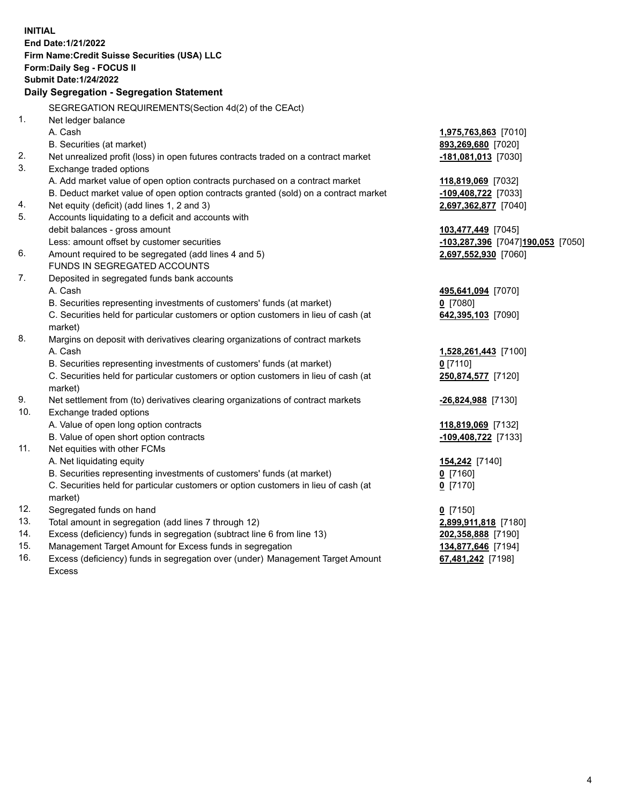15. Management Target Amount for Excess funds in segregation **134,877,646** [7194] 16. Excess (deficiency) funds in segregation over (under) Management Target Amount **67,481,242** [7198] **INITIAL End Date:1/21/2022 Firm Name:Credit Suisse Securities (USA) LLC Form:Daily Seg - FOCUS II Submit Date:1/24/2022 Daily Segregation - Segregation Statement**  SEGREGATION REQUIREMENTS(Section 4d(2) of the CEAct) 1. Net ledger balance A. Cash **1,975,763,863** [7010] B. Securities (at market) **893,269,680** [7020] 2. Net unrealized profit (loss) in open futures contracts traded on a contract market **-181,081,013** [7030] 3. Exchange traded options A. Add market value of open option contracts purchased on a contract market **118,819,069** [7032] B. Deduct market value of open option contracts granted (sold) on a contract market **-109,408,722** [7033] 4. Net equity (deficit) (add lines 1, 2 and 3) **2,697,362,877** [7040] 5. Accounts liquidating to a deficit and accounts with debit balances - gross amount **103,477,449** [7045] Less: amount offset by customer securities **-103,287,396** [7047] **190,053** [7050] 6. Amount required to be segregated (add lines 4 and 5) **2,697,552,930** [7060] FUNDS IN SEGREGATED ACCOUNTS 7. Deposited in segregated funds bank accounts A. Cash **495,641,094** [7070] B. Securities representing investments of customers' funds (at market) **0** [7080] C. Securities held for particular customers or option customers in lieu of cash (at **642,395,103** [7090] market) 8. Margins on deposit with derivatives clearing organizations of contract markets A. Cash **1,528,261,443** [7100] B. Securities representing investments of customers' funds (at market) **0** [7110] C. Securities held for particular customers or option customers in lieu of cash (at **250,874,577** [7120] market) 9. Net settlement from (to) derivatives clearing organizations of contract markets **-26,824,988** [7130] 10. Exchange traded options A. Value of open long option contracts **118,819,069** [7132] B. Value of open short option contracts **-109,408,722** [7133] 11. Net equities with other FCMs A. Net liquidating equity **154,242** [7140] B. Securities representing investments of customers' funds (at market) **0** [7160] C. Securities held for particular customers or option customers in lieu of cash (at **0** [7170] market) 12. Segregated funds on hand **0** [7150] 13. Total amount in segregation (add lines 7 through 12) **2,899,911,818** [7180] 14. Excess (deficiency) funds in segregation (subtract line 6 from line 13) **202,358,888** [7190]

Excess